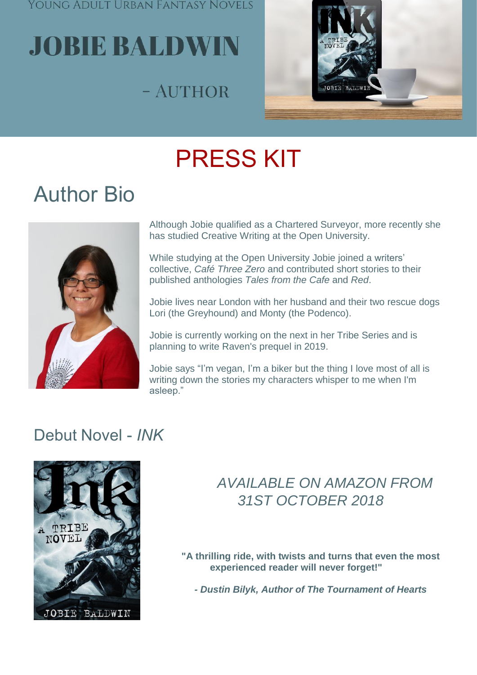Young Adult Urban Fantasy Novels

# **JOBIE BALDWIN**

## - AUTHOR



## PRESS KIT

## Author Bio



Although Jobie qualified as a Chartered Surveyor, more recently she has studied Creative Writing at the Open University.

While studying at the Open University Jobie joined a writers' collective, *Café Three Zero* and contributed short stories to their published anthologies *Tales from the Cafe* and *Red*.

Jobie lives near London with her husband and their two rescue dogs Lori (the Greyhound) and Monty (the Podenco).

Jobie is currently working on the next in her Tribe Series and is planning to write Raven's prequel in 2019.

Jobie says "I'm vegan, I'm a biker but the thing I love most of all is writing down the stories my characters whisper to me when I'm asleep."

### Debut Novel - *INK*



### *AVAILABLE ON AMAZON FROM 31ST OCTOBER 2018*

**"A thrilling ride, with twists and turns that even the most experienced reader will never forget!"**

*- Dustin Bilyk, Author of The Tournament of Hearts*